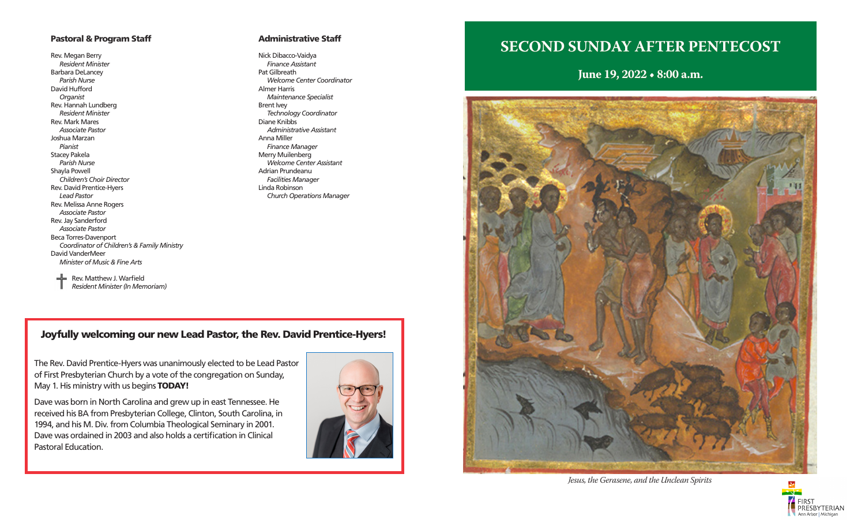#### Pastoral & Program Staff

Rev. Megan Berry *Resident Minister* Barbara DeLancey *Parish Nurse* David Hufford *Organist* Rev. Hannah Lundberg *Resident Minister* Rev. Mark Mares *Associate Pastor* Joshua Marzan *Pianist* Stacey Pakela *Parish Nurse* Shayla Powell *Children's Choir Director* Rev. David Prentice-Hyers *Lead Pastor* Rev. Melissa Anne Rogers *Associate Pastor* Rev. Jay Sanderford *Associate Pastor* Beca Torres-Davenport *Coordinator of Children's & Family Ministry* David VanderMeer *Minister of Music & Fine Arts*

#### Administrative Staff

Nick Dibacco-Vaidya *Finance Assistant* Pat Gilbreath *Welcome Center Coordinator* Almer Harris *Maintenance Specialist* Brent Ivey *Technology Coordinator* Diane Knibbs *Administrative Assistant* Anna Miller *Finance Manager* Merry Muilenberg *Welcome Center Assistant* Adrian Prundeanu *Facilities Manager* Linda Robinson *Church Operations Manager*

 $\equiv$  Rev. Matthew J. Warfield *Resident Minister (In Memoriam)*

### Joyfully welcoming our new Lead Pastor, the Rev. David Prentice-Hyers!

The Rev. David Prentice-Hyers was unanimously elected to be Lead Pastor of First Presbyterian Church by a vote of the congregation on Sunday, May 1. His ministry with us begins **TODAY!** 

Dave was born in North Carolina and grew up in east Tennessee. He received his BA from Presbyterian College, Clinton, South Carolina, in 1994, and his M. Div. from Columbia Theological Seminary in 2001. Dave was ordained in 2003 and also holds a certification in Clinical Pastoral Education.



# **SECOND SUNDAY AFTER PENTECOST**

**June 19, 2022 • 8:00 a.m.**



*Jesus, the Gerasene, and the Unclean Spirits* 

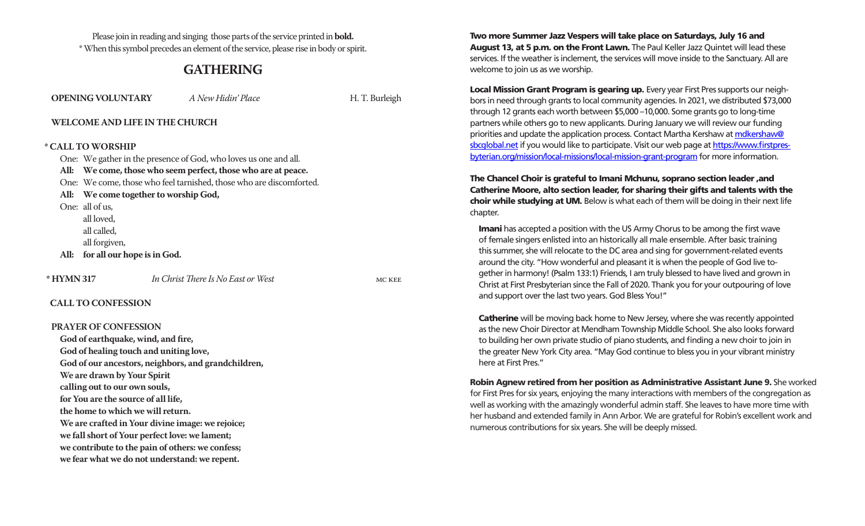Please join in reading and singing those parts of the service printed in **bold.**  \* When this symbol precedes an element of the service, please rise in body or spirit.

### **GATHERING**

|            | <b>OPENING VOLUNTARY</b>                                            | A New Hidin' Place                                  | H. T. Burleigh |  |
|------------|---------------------------------------------------------------------|-----------------------------------------------------|----------------|--|
|            |                                                                     | <b>WELCOME AND LIFE IN THE CHURCH</b>               |                |  |
|            | * CALL TO WORSHIP                                                   |                                                     |                |  |
|            | One: We gather in the presence of God, who loves us one and all.    |                                                     |                |  |
|            | All: We come, those who seem perfect, those who are at peace.       |                                                     |                |  |
|            | One: We come, those who feel tarnished, those who are discomforted. |                                                     |                |  |
| All:       | We come together to worship God,                                    |                                                     |                |  |
|            | One: all of us,                                                     |                                                     |                |  |
|            | all loved,                                                          |                                                     |                |  |
|            | all called,                                                         |                                                     |                |  |
|            | all forgiven,                                                       |                                                     |                |  |
| All:       | for all our hope is in God.                                         |                                                     |                |  |
| * HYMN 317 |                                                                     | In Christ There Is No East or West                  | MC KEE         |  |
|            | <b>CALL TO CONFESSION</b>                                           |                                                     |                |  |
|            | <b>PRAYER OF CONFESSION</b>                                         |                                                     |                |  |
|            | God of earthquake, wind, and fire,                                  |                                                     |                |  |
|            | God of healing touch and uniting love,                              |                                                     |                |  |
|            |                                                                     | God of our ancestors, neighbors, and grandchildren, |                |  |
|            | We are drawn by Your Spirit                                         |                                                     |                |  |
|            | calling out to our own souls,                                       |                                                     |                |  |
|            | for You are the source of all life.                                 |                                                     |                |  |

**the home to which we will return.**

**We are crafted in Your divine image: we rejoice; we fall short of Your perfect love: we lament; we contribute to the pain of others: we confess; we fear what we do not understand: we repent.**

Two more Summer Jazz Vespers will take place on Saturdays, July 16 and August 13, at 5 p.m. on the Front Lawn. The Paul Keller Jazz Quintet will lead these services. If the weather is inclement, the services will move inside to the Sanctuary. All are welcome to join us as we worship.

Local Mission Grant Program is gearing up. Every year First Pres supports our neighbors in need through grants to local community agencies. In 2021, we distributed \$73,000 through 12 grants each worth between \$5,000 –10,000. Some grants go to long-time partners while others go to new applicants. During January we will review our funding priorities and update the application process. Contact Martha Kershaw at mdkershaw@ sbcglobal.net if you would like to participate. Visit our web page at https://www.firstpresbyterian.org/mission/local-missions/local-mission-grant-program for more information.

The Chancel Choir is grateful to Imani Mchunu, soprano section leader ,and Catherine Moore, alto section leader, for sharing their gifts and talents with the choir while studying at UM. Below is what each of them will be doing in their next life chapter.

Imani has accepted a position with the US Army Chorus to be among the first wave of female singers enlisted into an historically all male ensemble. After basic training this summer, she will relocate to the DC area and sing for government-related events around the city. "How wonderful and pleasant it is when the people of God live together in harmony! (Psalm 133:1) Friends, I am truly blessed to have lived and grown in Christ at First Presbyterian since the Fall of 2020. Thank you for your outpouring of love and support over the last two years. God Bless You!"

**Catherine** will be moving back home to New Jersey, where she was recently appointed as the new Choir Director at Mendham Township Middle School. She also looks forward to building her own private studio of piano students, and finding a new choir to join in the greater New York City area. "May God continue to bless you in your vibrant ministry here at First Pres."

Robin Agnew retired from her position as Administrative Assistant June 9. She worked for First Pres for six years, enjoying the many interactions with members of the congregation as well as working with the amazingly wonderful admin staff. She leaves to have more time with her husband and extended family in Ann Arbor. We are grateful for Robin's excellent work and numerous contributions for six years. She will be deeply missed.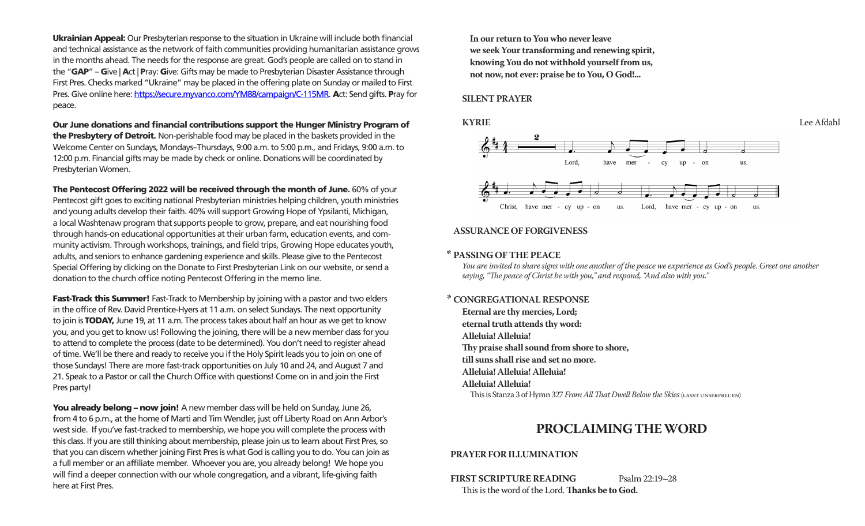Ukrainian Appeal: Our Presbyterian response to the situation in Ukraine will include both financial and technical assistance as the network of faith communities providing humanitarian assistance grows in the months ahead. The needs for the response are great. God's people are called on to stand in the "GAP" – Give | Act | Pray: Give: Gifts may be made to Presbyterian Disaster Assistance through First Pres. Checks marked "Ukraine" may be placed in the offering plate on Sunday or mailed to First Pres. Give online here: https://secure.myvanco.com/YM88/campaign/C-115MR. Act: Send gifts. Pray for peace.

Our June donations and financial contributions support the Hunger Ministry Program of the Presbytery of Detroit. Non-perishable food may be placed in the baskets provided in the Welcome Center on Sundays, Mondays–Thursdays, 9:00 a.m. to 5:00 p.m., and Fridays, 9:00 a.m. to 12:00 p.m. Financial gifts may be made by check or online. Donations will be coordinated by Presbyterian Women.

The Pentecost Offering 2022 will be received through the month of June. 60% of your Pentecost gift goes to exciting national Presbyterian ministries helping children, youth ministries and young adults develop their faith. 40% will support Growing Hope of Ypsilanti, Michigan, a local Washtenaw program that supports people to grow, prepare, and eat nourishing food through hands-on educational opportunities at their urban farm, education events, and community activism. Through workshops, trainings, and field trips, Growing Hope educates youth, adults, and seniors to enhance gardening experience and skills. Please give to the Pentecost Special Offering by clicking on the Donate to First Presbyterian Link on our website, or send a donation to the church office noting Pentecost Offering in the memo line.

Fast-Track this Summer! Fast-Track to Membership by joining with a pastor and two elders in the office of Rev. David Prentice-Hyers at 11 a.m. on select Sundays. The next opportunity to join is **TODAY**, June 19, at 11 a.m. The process takes about half an hour as we get to know you, and you get to know us! Following the joining, there will be a new member class for you to attend to complete the process (date to be determined). You don't need to register ahead of time. We'll be there and ready to receive you if the Holy Spirit leads you to join on one of those Sundays! There are more fast-track opportunities on July 10 and 24, and August 7 and 21. Speak to a Pastor or call the Church Office with questions! Come on in and join the First Pres party!

You already belong – now join! A new member class will be held on Sunday, June 26, from 4 to 6 p.m., at the home of Marti and Tim Wendler, just off Liberty Road on Ann Arbor's west side. If you've fast-tracked to membership, we hope you will complete the process with this class. If you are still thinking about membership, please join us to learn about First Pres, so that you can discern whether joining First Pres is what God is calling you to do. You can join as a full member or an affiliate member. Whoever you are, you already belong! We hope you will find a deeper connection with our whole congregation, and a vibrant, life-giving faith here at First Pres.

**In our return to You who never leave we seek Your transforming and renewing spirit, knowing You do not withhold yourself from us, not now, not ever: praise be to You, O God!...**

#### **SILENT PRAYER**



#### **ASSURANCE OF FORGIVENESS**

#### **\* PASSING OF THE PEACE**

*You are invited to share signs with one another of the peace we experience as God's people. Greet one another saying, "The peace of Christ be with you," and respond, "And also with you."*

#### **\* CONGREGATIONAL RESPONSE**

**Eternal are thy mercies, Lord; eternal truth attends thy word: Alleluia! Alleluia! Thy praise shall sound from shore to shore, till suns shall rise and set no more. Alleluia! Alleluia! Alleluia! Alleluia! Alleluia!** This is Stanza 3 of Hymn 327 *From All That Dwell Below the Skies* (lasst unserfreuen)

### **PROCLAIMING THE WORD**

#### **PRAYER FOR ILLUMINATION**

**FIRST SCRIPTURE READING** Psalm 22:19-28 This is the word of the Lord. **Thanks be to God.**